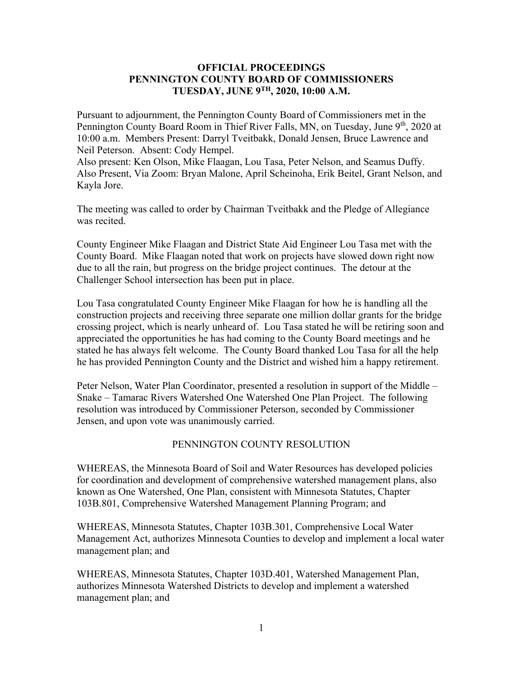## **OFFICIAL PROCEEDINGS PENNINGTON COUNTY BOARD OF COMMISSIONERS TUESDAY, JUNE 9TH, 2020, 10:00 A.M.**

Pursuant to adjournment, the Pennington County Board of Commissioners met in the Pennington County Board Room in Thief River Falls, MN, on Tuesday, June 9<sup>th</sup>, 2020 at 10:00 a.m. Members Present: Darryl Tveitbakk, Donald Jensen, Bruce Lawrence and Neil Peterson. Absent: Cody Hempel.

Also present: Ken Olson, Mike Flaagan, Lou Tasa, Peter Nelson, and Seamus Duffy. Also Present, Via Zoom: Bryan Malone, April Scheinoha, Erik Beitel, Grant Nelson, and Kayla Jore.

The meeting was called to order by Chairman Tveitbakk and the Pledge of Allegiance was recited.

County Engineer Mike Flaagan and District State Aid Engineer Lou Tasa met with the County Board. Mike Flaagan noted that work on projects have slowed down right now due to all the rain, but progress on the bridge project continues. The detour at the Challenger School intersection has been put in place.

Lou Tasa congratulated County Engineer Mike Flaagan for how he is handling all the construction projects and receiving three separate one million dollar grants for the bridge crossing project, which is nearly unheard of. Lou Tasa stated he will be retiring soon and appreciated the opportunities he has had coming to the County Board meetings and he stated he has always felt welcome. The County Board thanked Lou Tasa for all the help he has provided Pennington County and the District and wished him a happy retirement.

Peter Nelson, Water Plan Coordinator, presented a resolution in support of the Middle – Snake – Tamarac Rivers Watershed One Watershed One Plan Project. The following resolution was introduced by Commissioner Peterson, seconded by Commissioner Jensen, and upon vote was unanimously carried.

## PENNINGTON COUNTY RESOLUTION

WHEREAS, the Minnesota Board of Soil and Water Resources has developed policies for coordination and development of comprehensive watershed management plans, also known as One Watershed, One Plan, consistent with Minnesota Statutes, Chapter 103B.801, Comprehensive Watershed Management Planning Program; and

WHEREAS, Minnesota Statutes, Chapter 103B.301, Comprehensive Local Water Management Act, authorizes Minnesota Counties to develop and implement a local water management plan; and

WHEREAS, Minnesota Statutes, Chapter 103D.401, Watershed Management Plan, authorizes Minnesota Watershed Districts to develop and implement a watershed management plan; and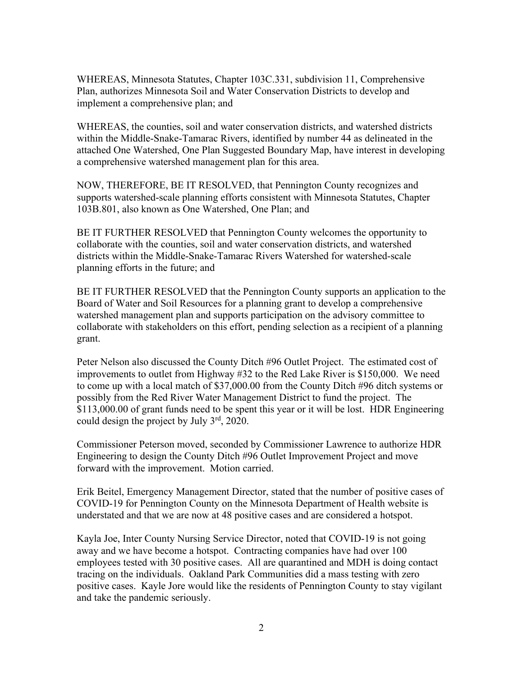WHEREAS, Minnesota Statutes, Chapter 103C.331, subdivision 11, Comprehensive Plan, authorizes Minnesota Soil and Water Conservation Districts to develop and implement a comprehensive plan; and

WHEREAS, the counties, soil and water conservation districts, and watershed districts within the Middle-Snake-Tamarac Rivers, identified by number 44 as delineated in the attached One Watershed, One Plan Suggested Boundary Map, have interest in developing a comprehensive watershed management plan for this area.

NOW, THEREFORE, BE IT RESOLVED, that Pennington County recognizes and supports watershed-scale planning efforts consistent with Minnesota Statutes, Chapter 103B.801, also known as One Watershed, One Plan; and

BE IT FURTHER RESOLVED that Pennington County welcomes the opportunity to collaborate with the counties, soil and water conservation districts, and watershed districts within the Middle-Snake-Tamarac Rivers Watershed for watershed-scale planning efforts in the future; and

BE IT FURTHER RESOLVED that the Pennington County supports an application to the Board of Water and Soil Resources for a planning grant to develop a comprehensive watershed management plan and supports participation on the advisory committee to collaborate with stakeholders on this effort, pending selection as a recipient of a planning grant.

Peter Nelson also discussed the County Ditch #96 Outlet Project. The estimated cost of improvements to outlet from Highway #32 to the Red Lake River is \$150,000. We need to come up with a local match of \$37,000.00 from the County Ditch #96 ditch systems or possibly from the Red River Water Management District to fund the project. The \$113,000.00 of grant funds need to be spent this year or it will be lost. HDR Engineering could design the project by July 3rd, 2020.

Commissioner Peterson moved, seconded by Commissioner Lawrence to authorize HDR Engineering to design the County Ditch #96 Outlet Improvement Project and move forward with the improvement. Motion carried.

Erik Beitel, Emergency Management Director, stated that the number of positive cases of COVID-19 for Pennington County on the Minnesota Department of Health website is understated and that we are now at 48 positive cases and are considered a hotspot.

Kayla Joe, Inter County Nursing Service Director, noted that COVID-19 is not going away and we have become a hotspot. Contracting companies have had over 100 employees tested with 30 positive cases. All are quarantined and MDH is doing contact tracing on the individuals. Oakland Park Communities did a mass testing with zero positive cases. Kayle Jore would like the residents of Pennington County to stay vigilant and take the pandemic seriously.